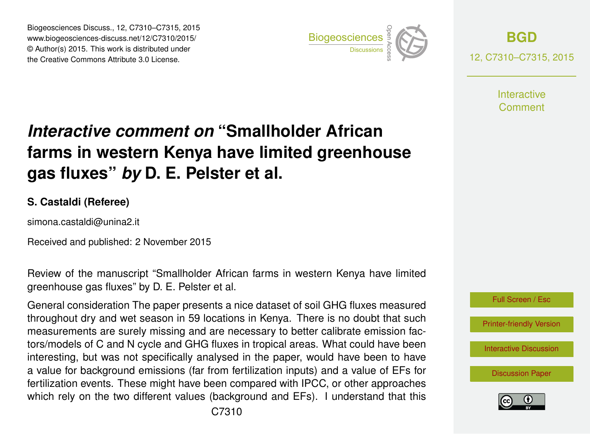Biogeosciences Discuss., 12, C7310–C7315, 2015 www.biogeosciences-discuss.net/12/C7310/2015/ © Author(s) 2015. This work is distributed under Biogeosciences Discuss., 12, C7310–C7315, 2015<br>
www.biogeosciences-discuss.net/12/C7310/2015/<br>
© Author(s) 2015. This work is distributed under<br>
the Creative Commons Attribute 3.0 License.



**[BGD](http://www.biogeosciences-discuss.net)** 12, C7310–C7315, 2015

> **Interactive** Comment

## *Interactive comment on* **"Smallholder African farms in western Kenya have limited greenhouse gas fluxes"** *by* **D. E. Pelster et al.**

#### **S. Castaldi (Referee)**

simona.castaldi@unina2.it

Received and published: 2 November 2015

Review of the manuscript "Smallholder African farms in western Kenya have limited greenhouse gas fluxes" by D. E. Pelster et al.

General consideration The paper presents a nice dataset of soil GHG fluxes measured throughout dry and wet season in 59 locations in Kenya. There is no doubt that such measurements are surely missing and are necessary to better calibrate emission factors/models of C and N cycle and GHG fluxes in tropical areas. What could have been interesting, but was not specifically analysed in the paper, would have been to have a value for background emissions (far from fertilization inputs) and a value of EFs for fertilization events. These might have been compared with IPCC, or other approaches which rely on the two different values (background and EFs). I understand that this



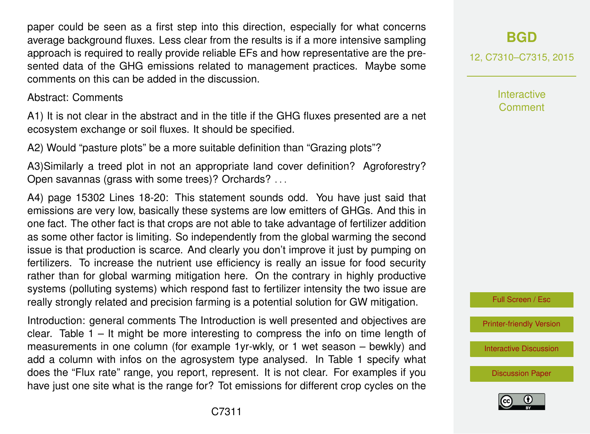paper could be seen as a first step into this direction, especially for what concerns average background fluxes. Less clear from the results is if a more intensive sampling approach is required to really provide reliable EFs and how representative are the presented data of the GHG emissions related to management practices. Maybe some comments on this can be added in the discussion.

#### Abstract: Comments

A1) It is not clear in the abstract and in the title if the GHG fluxes presented are a net ecosystem exchange or soil fluxes. It should be specified.

A2) Would "pasture plots" be a more suitable definition than "Grazing plots"?

A3)Similarly a treed plot in not an appropriate land cover definition? Agroforestry? Open savannas (grass with some trees)? Orchards? . . .

A4) page 15302 Lines 18-20: This statement sounds odd. You have just said that emissions are very low, basically these systems are low emitters of GHGs. And this in one fact. The other fact is that crops are not able to take advantage of fertilizer addition as some other factor is limiting. So independently from the global warming the second issue is that production is scarce. And clearly you don't improve it just by pumping on fertilizers. To increase the nutrient use efficiency is really an issue for food security rather than for global warming mitigation here. On the contrary in highly productive systems (polluting systems) which respond fast to fertilizer intensity the two issue are really strongly related and precision farming is a potential solution for GW mitigation.

Introduction: general comments The Introduction is well presented and objectives are clear. Table  $1 -$  It might be more interesting to compress the info on time length of measurements in one column (for example 1yr-wkly, or 1 wet season – bewkly) and add a column with infos on the agrosystem type analysed. In Table 1 specify what does the "Flux rate" range, you report, represent. It is not clear. For examples if you have just one site what is the range for? Tot emissions for different crop cycles on the

### **[BGD](http://www.biogeosciences-discuss.net)**

12, C7310–C7315, 2015

**Interactive** Comment



[Printer-friendly Version](http://www.biogeosciences-discuss.net/12/C7310/2015/bgd-12-C7310-2015-print.pdf)

[Interactive Discussion](http://www.biogeosciences-discuss.net/12/15301/2015/bgd-12-15301-2015-discussion.html)

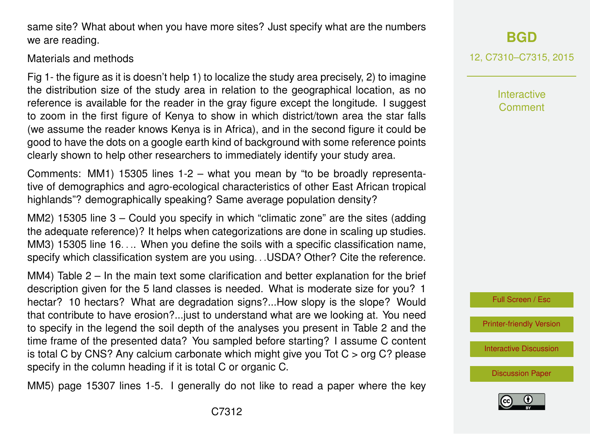C7312

same site? What about when you have more sites? Just specify what are the numbers we are reading.

#### Materials and methods

Fig 1- the figure as it is doesn't help 1) to localize the study area precisely, 2) to imagine the distribution size of the study area in relation to the geographical location, as no reference is available for the reader in the gray figure except the longitude. I suggest to zoom in the first figure of Kenya to show in which district/town area the star falls (we assume the reader knows Kenya is in Africa), and in the second figure it could be good to have the dots on a google earth kind of background with some reference points clearly shown to help other researchers to immediately identify your study area.

Comments: MM1) 15305 lines 1-2 – what you mean by "to be broadly representative of demographics and agro-ecological characteristics of other East African tropical highlands"? demographically speaking? Same average population density?

MM2) 15305 line 3 – Could you specify in which "climatic zone" are the sites (adding the adequate reference)? It helps when categorizations are done in scaling up studies. MM3) 15305 line 16. . . When you define the soils with a specific classification name, specify which classification system are you using. . .USDA? Other? Cite the reference.

MM4) Table 2 – In the main text some clarification and better explanation for the brief description given for the 5 land classes is needed. What is moderate size for you? 1 hectar? 10 hectars? What are degradation signs?...How slopy is the slope? Would that contribute to have erosion?...just to understand what are we looking at. You need to specify in the legend the soil depth of the analyses you present in Table 2 and the time frame of the presented data? You sampled before starting? I assume C content is total C by CNS? Any calcium carbonate which might give you Tot C > org C? please specify in the column heading if it is total C or organic C.

MM5) page 15307 lines 1-5. I generally do not like to read a paper where the key

# **[BGD](http://www.biogeosciences-discuss.net)**

12, C7310–C7315, 2015

**Interactive** Comment

Full Screen / Esc

[Printer-friendly Version](http://www.biogeosciences-discuss.net/12/C7310/2015/bgd-12-C7310-2015-print.pdf)

[Interactive Discussion](http://www.biogeosciences-discuss.net/12/15301/2015/bgd-12-15301-2015-discussion.html)

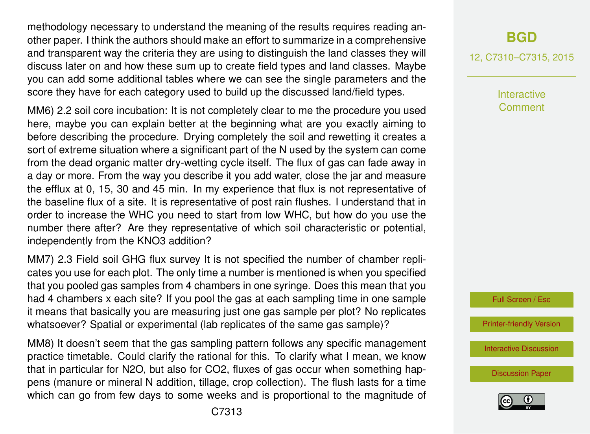methodology necessary to understand the meaning of the results requires reading another paper. I think the authors should make an effort to summarize in a comprehensive and transparent way the criteria they are using to distinguish the land classes they will discuss later on and how these sum up to create field types and land classes. Maybe you can add some additional tables where we can see the single parameters and the score they have for each category used to build up the discussed land/field types.

MM6) 2.2 soil core incubation: It is not completely clear to me the procedure you used here, maybe you can explain better at the beginning what are you exactly aiming to before describing the procedure. Drying completely the soil and rewetting it creates a sort of extreme situation where a significant part of the N used by the system can come from the dead organic matter dry-wetting cycle itself. The flux of gas can fade away in a day or more. From the way you describe it you add water, close the jar and measure the efflux at 0, 15, 30 and 45 min. In my experience that flux is not representative of the baseline flux of a site. It is representative of post rain flushes. I understand that in order to increase the WHC you need to start from low WHC, but how do you use the number there after? Are they representative of which soil characteristic or potential, independently from the KNO3 addition?

MM7) 2.3 Field soil GHG flux survey It is not specified the number of chamber replicates you use for each plot. The only time a number is mentioned is when you specified that you pooled gas samples from 4 chambers in one syringe. Does this mean that you had 4 chambers x each site? If you pool the gas at each sampling time in one sample it means that basically you are measuring just one gas sample per plot? No replicates whatsoever? Spatial or experimental (lab replicates of the same gas sample)?

MM8) It doesn't seem that the gas sampling pattern follows any specific management practice timetable. Could clarify the rational for this. To clarify what I mean, we know that in particular for N2O, but also for CO2, fluxes of gas occur when something happens (manure or mineral N addition, tillage, crop collection). The flush lasts for a time which can go from few days to some weeks and is proportional to the magnitude of

12, C7310–C7315, 2015

Interactive Comment



[Printer-friendly Version](http://www.biogeosciences-discuss.net/12/C7310/2015/bgd-12-C7310-2015-print.pdf)

[Interactive Discussion](http://www.biogeosciences-discuss.net/12/15301/2015/bgd-12-15301-2015-discussion.html)

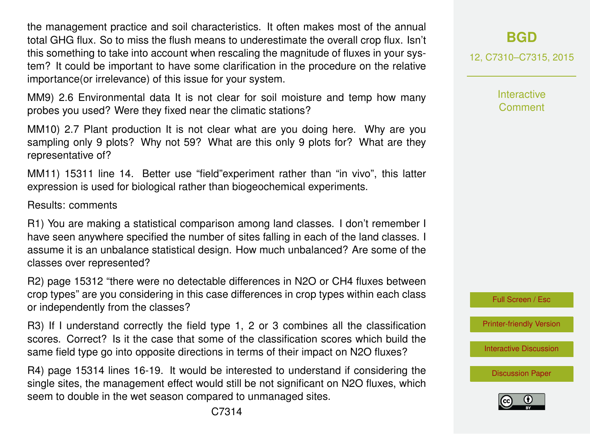the management practice and soil characteristics. It often makes most of the annual total GHG flux. So to miss the flush means to underestimate the overall crop flux. Isn't this something to take into account when rescaling the magnitude of fluxes in your system? It could be important to have some clarification in the procedure on the relative importance(or irrelevance) of this issue for your system.

MM9) 2.6 Environmental data It is not clear for soil moisture and temp how many probes you used? Were they fixed near the climatic stations?

MM10) 2.7 Plant production It is not clear what are you doing here. Why are you sampling only 9 plots? Why not 59? What are this only 9 plots for? What are they representative of?

MM11) 15311 line 14. Better use "field"experiment rather than "in vivo", this latter expression is used for biological rather than biogeochemical experiments.

Results: comments

R1) You are making a statistical comparison among land classes. I don't remember I have seen anywhere specified the number of sites falling in each of the land classes. I assume it is an unbalance statistical design. How much unbalanced? Are some of the classes over represented?

R2) page 15312 "there were no detectable differences in N2O or CH4 fluxes between crop types" are you considering in this case differences in crop types within each class or independently from the classes?

R3) If I understand correctly the field type 1, 2 or 3 combines all the classification scores. Correct? Is it the case that some of the classification scores which build the same field type go into opposite directions in terms of their impact on N2O fluxes?

R4) page 15314 lines 16-19. It would be interested to understand if considering the single sites, the management effect would still be not significant on N2O fluxes, which seem to double in the wet season compared to unmanaged sites.

12, C7310–C7315, 2015

**Interactive Comment** 



[Printer-friendly Version](http://www.biogeosciences-discuss.net/12/C7310/2015/bgd-12-C7310-2015-print.pdf)

[Interactive Discussion](http://www.biogeosciences-discuss.net/12/15301/2015/bgd-12-15301-2015-discussion.html)